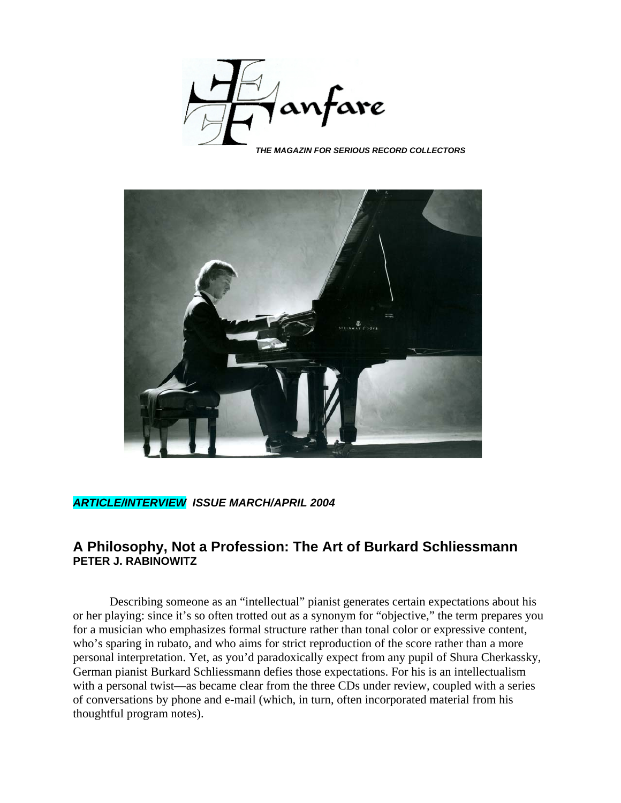

*THE MAGAZIN FOR SERIOUS RECORD COLLECTORS*



## *ARTICLE/INTERVIEW ISSUE MARCH/APRIL 2004*

## **A Philosophy, Not a Profession: The Art of Burkard Schliessmann PETER J. RABINOWITZ**

Describing someone as an "intellectual" pianist generates certain expectations about his or her playing: since it's so often trotted out as a synonym for "objective," the term prepares you for a musician who emphasizes formal structure rather than tonal color or expressive content, who's sparing in rubato, and who aims for strict reproduction of the score rather than a more personal interpretation. Yet, as you'd paradoxically expect from any pupil of Shura Cherkassky, German pianist Burkard Schliessmann defies those expectations. For his is an intellectualism with a personal twist—as became clear from the three CDs under review, coupled with a series of conversations by phone and e-mail (which, in turn, often incorporated material from his thoughtful program notes).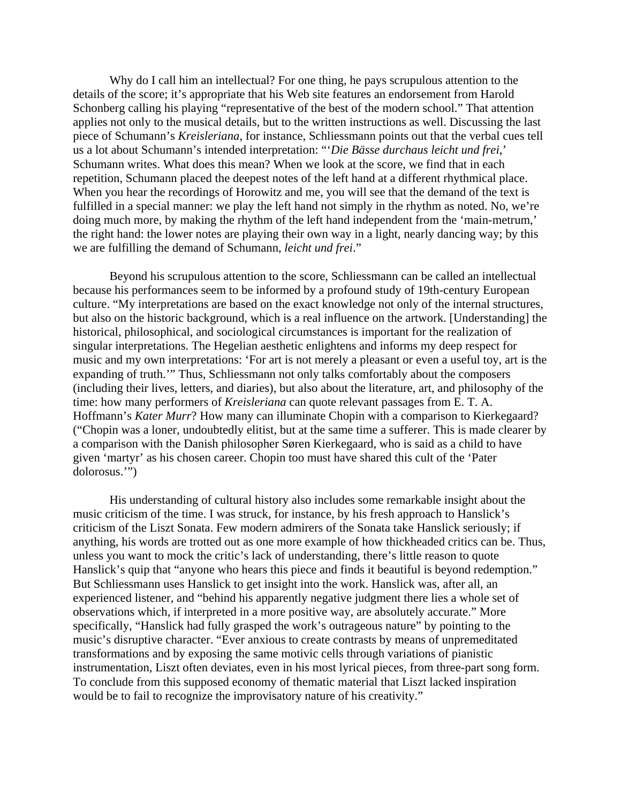Why do I call him an intellectual? For one thing, he pays scrupulous attention to the details of the score; it's appropriate that his Web site features an endorsement from Harold Schonberg calling his playing "representative of the best of the modern school." That attention applies not only to the musical details, but to the written instructions as well. Discussing the last piece of Schumann's *Kreisleriana*, for instance, Schliessmann points out that the verbal cues tell us a lot about Schumann's intended interpretation: "'*Die Bässe durchaus leicht und frei*,' Schumann writes. What does this mean? When we look at the score, we find that in each repetition, Schumann placed the deepest notes of the left hand at a different rhythmical place. When you hear the recordings of Horowitz and me, you will see that the demand of the text is fulfilled in a special manner: we play the left hand not simply in the rhythm as noted. No, we're doing much more, by making the rhythm of the left hand independent from the 'main-metrum,' the right hand: the lower notes are playing their own way in a light, nearly dancing way; by this we are fulfilling the demand of Schumann, *leicht und frei*."

Beyond his scrupulous attention to the score, Schliessmann can be called an intellectual because his performances seem to be informed by a profound study of 19th-century European culture. "My interpretations are based on the exact knowledge not only of the internal structures, but also on the historic background, which is a real influence on the artwork. [Understanding] the historical, philosophical, and sociological circumstances is important for the realization of singular interpretations. The Hegelian aesthetic enlightens and informs my deep respect for music and my own interpretations: 'For art is not merely a pleasant or even a useful toy, art is the expanding of truth.'" Thus, Schliessmann not only talks comfortably about the composers (including their lives, letters, and diaries), but also about the literature, art, and philosophy of the time: how many performers of *Kreisleriana* can quote relevant passages from E. T. A. Hoffmann's *Kater Murr*? How many can illuminate Chopin with a comparison to Kierkegaard? ("Chopin was a loner, undoubtedly elitist, but at the same time a sufferer. This is made clearer by a comparison with the Danish philosopher Søren Kierkegaard, who is said as a child to have given 'martyr' as his chosen career. Chopin too must have shared this cult of the 'Pater dolorosus.'")

His understanding of cultural history also includes some remarkable insight about the music criticism of the time. I was struck, for instance, by his fresh approach to Hanslick's criticism of the Liszt Sonata. Few modern admirers of the Sonata take Hanslick seriously; if anything, his words are trotted out as one more example of how thickheaded critics can be. Thus, unless you want to mock the critic's lack of understanding, there's little reason to quote Hanslick's quip that "anyone who hears this piece and finds it beautiful is beyond redemption." But Schliessmann uses Hanslick to get insight into the work. Hanslick was, after all, an experienced listener, and "behind his apparently negative judgment there lies a whole set of observations which, if interpreted in a more positive way, are absolutely accurate." More specifically, "Hanslick had fully grasped the work's outrageous nature" by pointing to the music's disruptive character. "Ever anxious to create contrasts by means of unpremeditated transformations and by exposing the same motivic cells through variations of pianistic instrumentation, Liszt often deviates, even in his most lyrical pieces, from three-part song form. To conclude from this supposed economy of thematic material that Liszt lacked inspiration would be to fail to recognize the improvisatory nature of his creativity."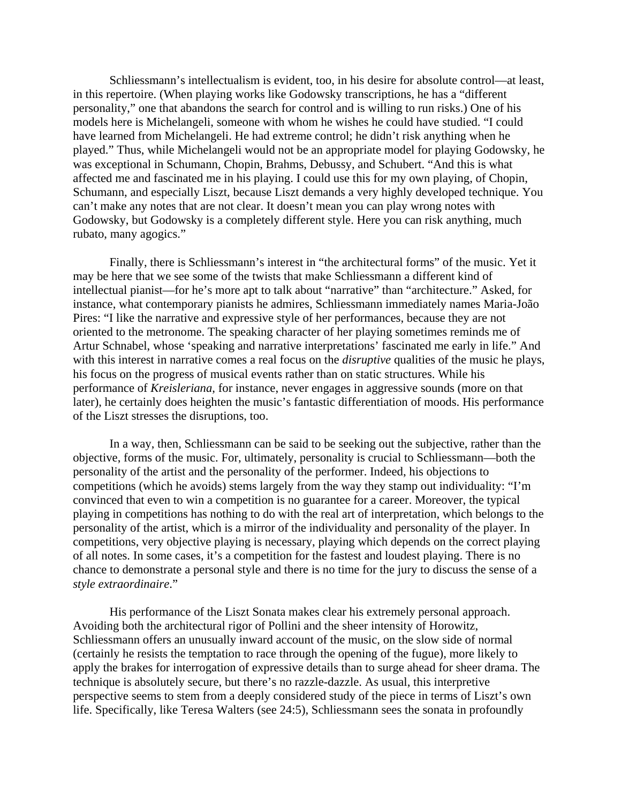Schliessmann's intellectualism is evident, too, in his desire for absolute control—at least, in this repertoire. (When playing works like Godowsky transcriptions, he has a "different personality," one that abandons the search for control and is willing to run risks.) One of his models here is Michelangeli, someone with whom he wishes he could have studied. "I could have learned from Michelangeli. He had extreme control; he didn't risk anything when he played." Thus, while Michelangeli would not be an appropriate model for playing Godowsky, he was exceptional in Schumann, Chopin, Brahms, Debussy, and Schubert. "And this is what affected me and fascinated me in his playing. I could use this for my own playing, of Chopin, Schumann, and especially Liszt, because Liszt demands a very highly developed technique. You can't make any notes that are not clear. It doesn't mean you can play wrong notes with Godowsky, but Godowsky is a completely different style. Here you can risk anything, much rubato, many agogics."

Finally, there is Schliessmann's interest in "the architectural forms" of the music. Yet it may be here that we see some of the twists that make Schliessmann a different kind of intellectual pianist—for he's more apt to talk about "narrative" than "architecture." Asked, for instance, what contemporary pianists he admires, Schliessmann immediately names Maria-João Pires: "I like the narrative and expressive style of her performances, because they are not oriented to the metronome. The speaking character of her playing sometimes reminds me of Artur Schnabel, whose 'speaking and narrative interpretations' fascinated me early in life." And with this interest in narrative comes a real focus on the *disruptive* qualities of the music he plays, his focus on the progress of musical events rather than on static structures. While his performance of *Kreisleriana*, for instance, never engages in aggressive sounds (more on that later), he certainly does heighten the music's fantastic differentiation of moods. His performance of the Liszt stresses the disruptions, too.

In a way, then, Schliessmann can be said to be seeking out the subjective, rather than the objective, forms of the music. For, ultimately, personality is crucial to Schliessmann—both the personality of the artist and the personality of the performer. Indeed, his objections to competitions (which he avoids) stems largely from the way they stamp out individuality: "I'm convinced that even to win a competition is no guarantee for a career. Moreover, the typical playing in competitions has nothing to do with the real art of interpretation, which belongs to the personality of the artist, which is a mirror of the individuality and personality of the player. In competitions, very objective playing is necessary, playing which depends on the correct playing of all notes. In some cases, it's a competition for the fastest and loudest playing. There is no chance to demonstrate a personal style and there is no time for the jury to discuss the sense of a *style extraordinaire*."

His performance of the Liszt Sonata makes clear his extremely personal approach. Avoiding both the architectural rigor of Pollini and the sheer intensity of Horowitz, Schliessmann offers an unusually inward account of the music, on the slow side of normal (certainly he resists the temptation to race through the opening of the fugue), more likely to apply the brakes for interrogation of expressive details than to surge ahead for sheer drama. The technique is absolutely secure, but there's no razzle-dazzle. As usual, this interpretive perspective seems to stem from a deeply considered study of the piece in terms of Liszt's own life. Specifically, like Teresa Walters (see 24:5), Schliessmann sees the sonata in profoundly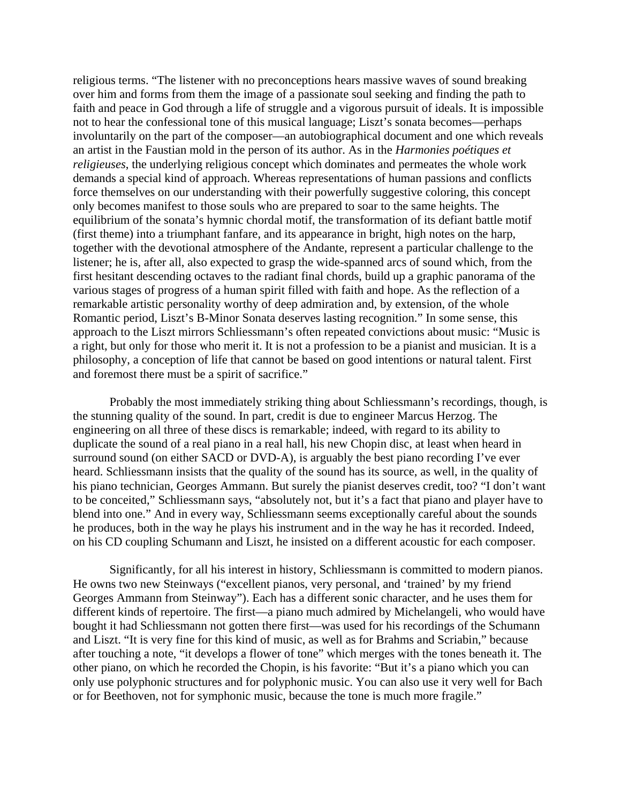religious terms. "The listener with no preconceptions hears massive waves of sound breaking over him and forms from them the image of a passionate soul seeking and finding the path to faith and peace in God through a life of struggle and a vigorous pursuit of ideals. It is impossible not to hear the confessional tone of this musical language; Liszt's sonata becomes—perhaps involuntarily on the part of the composer—an autobiographical document and one which reveals an artist in the Faustian mold in the person of its author. As in the *Harmonies poétiques et religieuses*, the underlying religious concept which dominates and permeates the whole work demands a special kind of approach. Whereas representations of human passions and conflicts force themselves on our understanding with their powerfully suggestive coloring, this concept only becomes manifest to those souls who are prepared to soar to the same heights. The equilibrium of the sonata's hymnic chordal motif, the transformation of its defiant battle motif (first theme) into a triumphant fanfare, and its appearance in bright, high notes on the harp, together with the devotional atmosphere of the Andante, represent a particular challenge to the listener; he is, after all, also expected to grasp the wide-spanned arcs of sound which, from the first hesitant descending octaves to the radiant final chords, build up a graphic panorama of the various stages of progress of a human spirit filled with faith and hope. As the reflection of a remarkable artistic personality worthy of deep admiration and, by extension, of the whole Romantic period, Liszt's B-Minor Sonata deserves lasting recognition." In some sense, this approach to the Liszt mirrors Schliessmann's often repeated convictions about music: "Music is a right, but only for those who merit it. It is not a profession to be a pianist and musician. It is a philosophy, a conception of life that cannot be based on good intentions or natural talent. First and foremost there must be a spirit of sacrifice."

Probably the most immediately striking thing about Schliessmann's recordings, though, is the stunning quality of the sound. In part, credit is due to engineer Marcus Herzog. The engineering on all three of these discs is remarkable; indeed, with regard to its ability to duplicate the sound of a real piano in a real hall, his new Chopin disc, at least when heard in surround sound (on either SACD or DVD-A), is arguably the best piano recording I've ever heard. Schliessmann insists that the quality of the sound has its source, as well, in the quality of his piano technician, Georges Ammann. But surely the pianist deserves credit, too? "I don't want to be conceited," Schliessmann says, "absolutely not, but it's a fact that piano and player have to blend into one." And in every way, Schliessmann seems exceptionally careful about the sounds he produces, both in the way he plays his instrument and in the way he has it recorded. Indeed, on his CD coupling Schumann and Liszt, he insisted on a different acoustic for each composer.

Significantly, for all his interest in history, Schliessmann is committed to modern pianos. He owns two new Steinways ("excellent pianos, very personal, and 'trained' by my friend Georges Ammann from Steinway"). Each has a different sonic character, and he uses them for different kinds of repertoire. The first—a piano much admired by Michelangeli, who would have bought it had Schliessmann not gotten there first—was used for his recordings of the Schumann and Liszt. "It is very fine for this kind of music, as well as for Brahms and Scriabin," because after touching a note, "it develops a flower of tone" which merges with the tones beneath it. The other piano, on which he recorded the Chopin, is his favorite: "But it's a piano which you can only use polyphonic structures and for polyphonic music. You can also use it very well for Bach or for Beethoven, not for symphonic music, because the tone is much more fragile."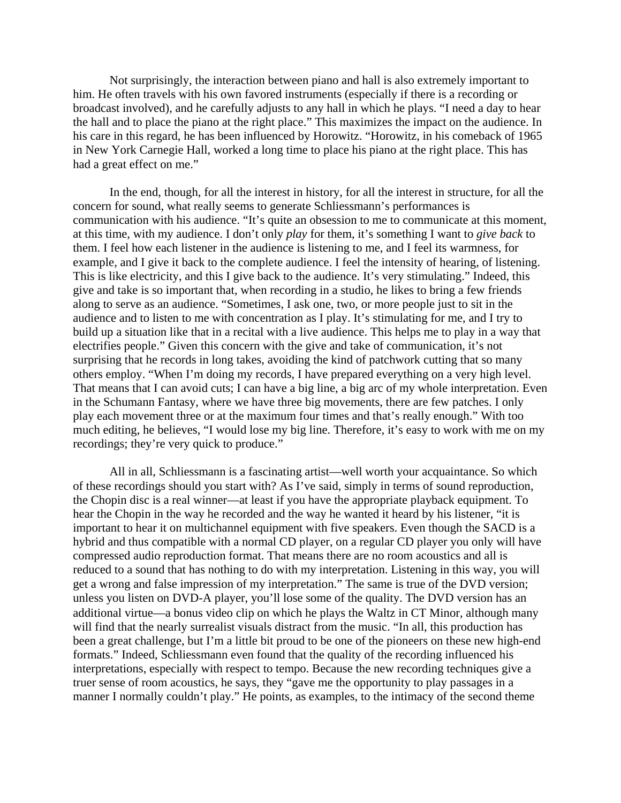Not surprisingly, the interaction between piano and hall is also extremely important to him. He often travels with his own favored instruments (especially if there is a recording or broadcast involved), and he carefully adjusts to any hall in which he plays. "I need a day to hear the hall and to place the piano at the right place." This maximizes the impact on the audience. In his care in this regard, he has been influenced by Horowitz. "Horowitz, in his comeback of 1965 in New York Carnegie Hall, worked a long time to place his piano at the right place. This has had a great effect on me."

In the end, though, for all the interest in history, for all the interest in structure, for all the concern for sound, what really seems to generate Schliessmann's performances is communication with his audience. "It's quite an obsession to me to communicate at this moment, at this time, with my audience. I don't only *play* for them, it's something I want to *give back* to them. I feel how each listener in the audience is listening to me, and I feel its warmness, for example, and I give it back to the complete audience. I feel the intensity of hearing, of listening. This is like electricity, and this I give back to the audience. It's very stimulating." Indeed, this give and take is so important that, when recording in a studio, he likes to bring a few friends along to serve as an audience. "Sometimes, I ask one, two, or more people just to sit in the audience and to listen to me with concentration as I play. It's stimulating for me, and I try to build up a situation like that in a recital with a live audience. This helps me to play in a way that electrifies people." Given this concern with the give and take of communication, it's not surprising that he records in long takes, avoiding the kind of patchwork cutting that so many others employ. "When I'm doing my records, I have prepared everything on a very high level. That means that I can avoid cuts; I can have a big line, a big arc of my whole interpretation. Even in the Schumann Fantasy, where we have three big movements, there are few patches. I only play each movement three or at the maximum four times and that's really enough." With too much editing, he believes, "I would lose my big line. Therefore, it's easy to work with me on my recordings; they're very quick to produce."

All in all, Schliessmann is a fascinating artist—well worth your acquaintance. So which of these recordings should you start with? As I've said, simply in terms of sound reproduction, the Chopin disc is a real winner—at least if you have the appropriate playback equipment. To hear the Chopin in the way he recorded and the way he wanted it heard by his listener, "it is important to hear it on multichannel equipment with five speakers. Even though the SACD is a hybrid and thus compatible with a normal CD player, on a regular CD player you only will have compressed audio reproduction format. That means there are no room acoustics and all is reduced to a sound that has nothing to do with my interpretation. Listening in this way, you will get a wrong and false impression of my interpretation." The same is true of the DVD version; unless you listen on DVD-A player, you'll lose some of the quality. The DVD version has an additional virtue—a bonus video clip on which he plays the Waltz in CΤ Minor, although many will find that the nearly surrealist visuals distract from the music. "In all, this production has been a great challenge, but I'm a little bit proud to be one of the pioneers on these new high-end formats." Indeed, Schliessmann even found that the quality of the recording influenced his interpretations, especially with respect to tempo. Because the new recording techniques give a truer sense of room acoustics, he says, they "gave me the opportunity to play passages in a manner I normally couldn't play." He points, as examples, to the intimacy of the second theme